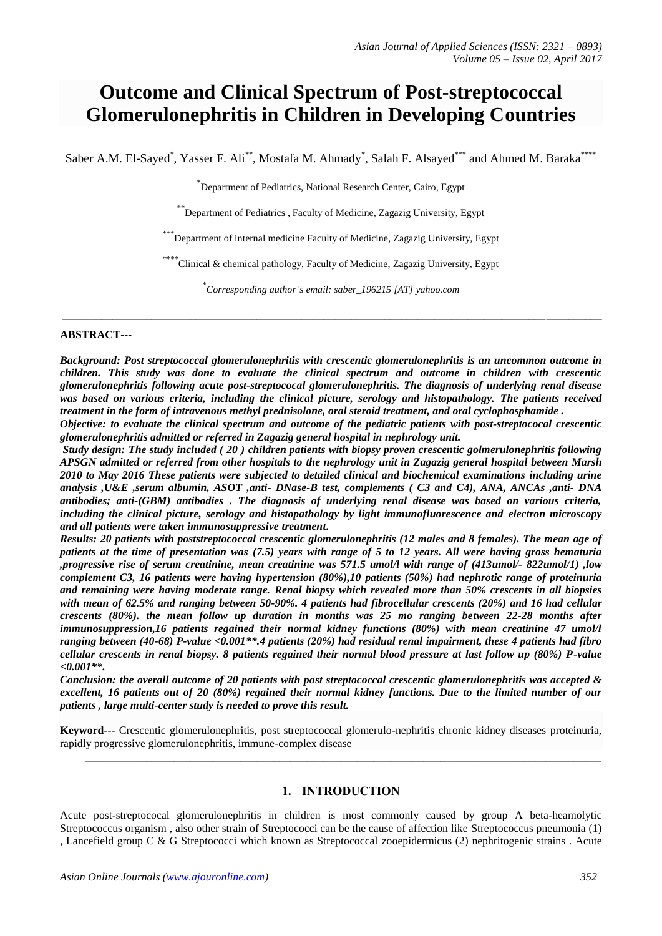# **Outcome and Clinical Spectrum of Post-streptococcal Glomerulonephritis in Children in Developing Countries**

Saber A.M. El-Sayed<sup>\*</sup>, Yasser F. Ali<sup>\*\*</sup>, Mostafa M. Ahmady<sup>\*</sup>, Salah F. Alsayed<sup>\*\*\*</sup> and Ahmed M. Baraka<sup>\*\*\*\*</sup>

\* Department of Pediatrics, National Research Center, Cairo, Egypt

\*\* Department of Pediatrics , Faculty of Medicine, Zagazig University, Egypt

\*\*\* Department of internal medicine Faculty of Medicine, Zagazig University, Egypt

\*\*\*\*\*<br>Clinical & chemical pathology, Faculty of Medicine, Zagazig University, Egypt

\* *Corresponding author's email: saber\_196215 [AT] yahoo.com*

**\_\_\_\_\_\_\_\_\_\_\_\_\_\_\_\_\_\_\_\_\_\_\_\_\_\_\_\_\_\_\_\_\_\_\_\_\_\_\_\_\_\_\_\_\_\_\_\_\_\_\_\_\_\_\_\_\_\_\_\_\_\_\_\_\_\_\_\_\_\_\_\_\_\_\_\_\_\_\_\_\_\_\_\_\_\_\_\_\_\_\_\_\_\_\_\_\_**

#### **ABSTRACT---**

*Background: Post streptococcal glomerulonephritis with crescentic glomerulonephritis is an uncommon outcome in children. This study was done to evaluate the clinical spectrum and outcome in children with crescentic glomerulonephritis following acute post-streptococal glomerulonephritis. The diagnosis of underlying renal disease was based on various criteria, including the clinical picture, serology and histopathology. The patients received treatment in the form of intravenous methyl prednisolone, oral steroid treatment, and oral cyclophosphamide .*

*Objective: to evaluate the clinical spectrum and outcome of the pediatric patients with post-streptococal crescentic glomerulonephritis admitted or referred in Zagazig general hospital in nephrology unit.*

*Study design: The study included ( 20 ) children patients with biopsy proven crescentic golmerulonephritis following APSGN admitted or referred from other hospitals to the nephrology unit in Zagazig general hospital between Marsh 2010 to May 2016 These patients were subjected to detailed clinical and biochemical examinations including urine analysis ,U&E ,serum albumin, ASOT ,anti- DNase-B test, complements ( C3 and C4), ANA, ANCAs ,anti- DNA antibodies; anti-(GBM) antibodies . The diagnosis of underlying renal disease was based on various criteria, including the clinical picture, serology and histopathology by light immunofluorescence and electron microscopy and all patients were taken immunosuppressive treatment.*

*Results: 20 patients with poststreptococcal crescentic glomerulonephritis (12 males and 8 females). The mean age of patients at the time of presentation was (7.5) years with range of 5 to 12 years. All were having gross hematuria ,progressive rise of serum creatinine, mean creatinine was 571.5 umol/l with range of (413umol/- 822umol/1) ,low complement C3, 16 patients were having hypertension (80%),10 patients (50%) had nephrotic range of proteinuria and remaining were having moderate range. Renal biopsy which revealed more than 50% crescents in all biopsies with mean of 62.5% and ranging between 50-90%. 4 patients had fibrocellular crescents (20%) and 16 had cellular crescents (80%). the mean follow up duration in months was 25 mo ranging between 22-28 months after immunosuppression,16 patients regained their normal kidney functions (80%) with mean creatinine 47 umol/l ranging between (40-68) P-value <0.001\*\*.4 patients (20%) had residual renal impairment, these 4 patients had fibro cellular crescents in renal biopsy. 8 patients regained their normal blood pressure at last follow up (80%) P-value <0.001\*\*.*

*Conclusion: the overall outcome of 20 patients with post streptococcal crescentic glomerulonephritis was accepted & excellent, 16 patients out of 20 (80%) regained their normal kidney functions. Due to the limited number of our patients , large multi-center study is needed to prove this result.*

**Keyword---** Crescentic glomerulonephritis, post streptococcal glomerulo-nephritis chronic kidney diseases proteinuria, rapidly progressive glomerulonephritis, immune-complex disease

### **1. INTRODUCTION**

**\_\_\_\_\_\_\_\_\_\_\_\_\_\_\_\_\_\_\_\_\_\_\_\_\_\_\_\_\_\_\_\_\_\_\_\_\_\_\_\_\_\_\_\_\_\_\_\_\_\_\_\_\_\_\_\_\_\_\_\_\_\_\_\_\_\_\_\_\_\_\_\_\_\_\_\_\_\_\_\_\_\_\_\_\_\_\_\_\_\_\_\_\_**

Acute post-streptococal glomerulonephritis in children is most commonly caused by group A beta-heamolytic Streptococcus organism , also other strain of Streptococci can be the cause of affection like Streptococcus pneumonia (1) , Lancefield group C & G Streptococci which known as Streptococcal zooepidermicus (2) nephritogenic strains . Acute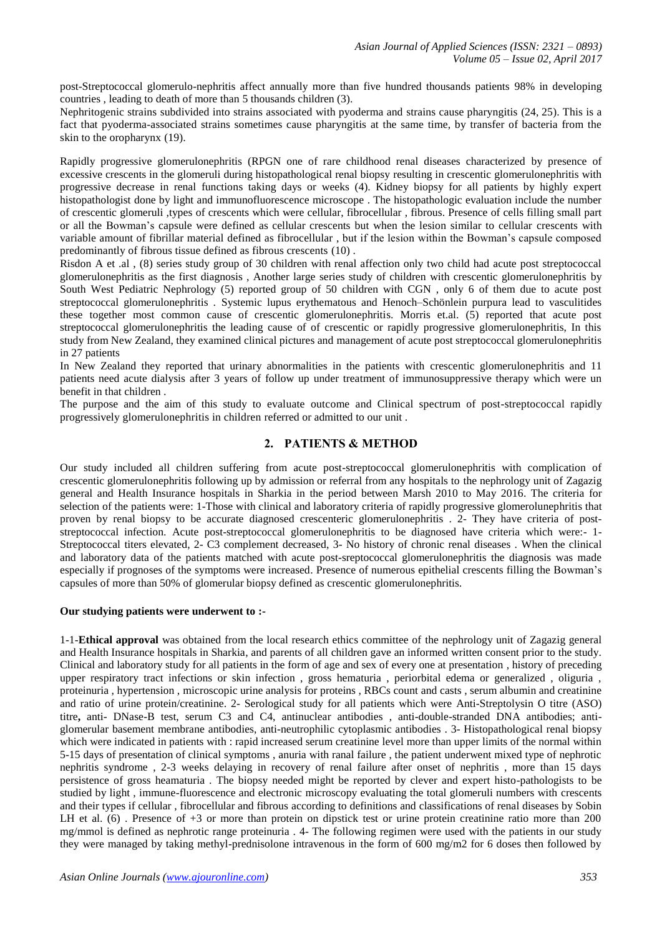post-Streptococcal glomerulo-nephritis affect annually more than five hundred thousands patients 98% in developing countries , leading to death of more than 5 thousands children (3).

Nephritogenic strains subdivided into strains associated with pyoderma and strains cause pharyngitis (24, 25). This is a fact that pyoderma-associated strains sometimes cause pharyngitis at the same time, by transfer of bacteria from the skin to the oropharynx (19).

Rapidly progressive glomerulonephritis (RPGN one of rare childhood renal diseases characterized by presence of excessive crescents in the glomeruli during histopathological renal biopsy resulting in crescentic glomerulonephritis with progressive decrease in renal functions taking days or weeks (4). Kidney biopsy for all patients by highly expert histopathologist done by light and immunofluorescence microscope . The histopathologic evaluation include the number of crescentic glomeruli ,types of crescents which were cellular, fibrocellular , fibrous. Presence of cells filling small part or all the Bowman's capsule were defined as cellular crescents but when the lesion similar to cellular crescents with variable amount of fibrillar material defined as fibrocellular , but if the lesion within the Bowman's capsule composed predominantly of fibrous tissue defined as fibrous crescents [\(10\)](http://link.springer.com/article/10.1007/s00467-007-0647-3#CR10) .

Risdon A et .al , (8) series study group of 30 children with renal affection only two child had acute post streptococcal glomerulonephritis as the first diagnosis , Another large series study of children with crescentic glomerulonephritis by South West Pediatric Nephrology (5) reported group of 50 children with CGN , only 6 of them due to acute post streptococcal glomerulonephritis . Systemic lupus erythematous and Henoch–Schönlein purpura lead to vasculitides these together most common cause of crescentic glomerulonephritis. Morris et.al. (5) reported that acute post streptococcal glomerulonephritis the leading cause of of crescentic or rapidly progressive glomerulonephritis, In this study from New Zealand, they examined clinical pictures and management of acute post streptococcal glomerulonephritis in 27 patients

In New Zealand they reported that urinary abnormalities in the patients with crescentic glomerulonephritis and 11 patients need acute dialysis after 3 years of follow up under treatment of immunosuppressive therapy which were un benefit in that children .

The purpose and the aim of this study to evaluate outcome and Clinical spectrum of post-streptococcal rapidly progressively glomerulonephritis in children referred or admitted to our unit .

### **2. PATIENTS & METHOD**

Our study included all children suffering from acute post-streptococcal glomerulonephritis with complication of crescentic glomerulonephritis following up by admission or referral from any hospitals to the nephrology unit of Zagazig general and Health Insurance hospitals in Sharkia in the period between Marsh 2010 to May 2016. The criteria for selection of the patients were: 1-Those with clinical and laboratory criteria of rapidly progressive glomerolunephritis that proven by renal biopsy to be accurate diagnosed crescenteric glomerulonephritis . 2- They have criteria of poststreptococcal infection. Acute post-streptococcal glomerulonephritis to be diagnosed have criteria which were:- 1- Streptococcal titers elevated, 2- C3 complement decreased, 3- No history of chronic renal diseases . When the clinical and laboratory data of the patients matched with acute post-sreptococcal glomerulonephritis the diagnosis was made especially if prognoses of the symptoms were increased. Presence of numerous epithelial crescents filling the Bowman's capsules of more than 50% of glomerular biopsy defined as crescentic glomerulonephritis.

### **Our studying patients were underwent to :-**

1-1-**Ethical approval** was obtained from the local research ethics committee of the nephrology unit of Zagazig general and Health Insurance hospitals in Sharkia, and parents of all children gave an informed written consent prior to the study. Clinical and laboratory study for all patients in the form of age and sex of every one at presentation , history of preceding upper respiratory tract infections or skin infection , gross hematuria , periorbital edema or generalized , oliguria , proteinuria , hypertension , microscopic urine analysis for proteins , RBCs count and casts , serum albumin and creatinine and ratio of urine protein/creatinine. 2- Serological study for all patients which were Anti-Streptolysin O titre (ASO) titre**,** anti- DNase-B test, serum C3 and C4, antinuclear antibodies , anti-double-stranded DNA antibodies; antiglomerular basement membrane antibodies, anti-neutrophilic cytoplasmic antibodies . 3- Histopathological renal biopsy which were indicated in patients with : rapid increased serum creatinine level more than upper limits of the normal within 5-15 days of presentation of clinical symptoms , anuria with ranal failure , the patient underwent mixed type of nephrotic nephritis syndrome , 2-3 weeks delaying in recovery of renal failure after onset of nephritis , more than 15 days persistence of gross heamaturia . The biopsy needed might be reported by clever and expert histo-pathologists to be studied by light , immune-fluorescence and electronic microscopy evaluating the total glomeruli numbers with crescents and their types if cellular , fibrocellular and fibrous according to definitions and classifications of renal diseases by Sobin LH et al. (6). Presence of +3 or more than protein on dipstick test or urine protein creatinine ratio more than 200 mg/mmol is defined as nephrotic range proteinuria . 4- The following regimen were used with the patients in our study they were managed by taking methyl-prednisolone intravenous in the form of 600 mg/m2 for 6 doses then followed by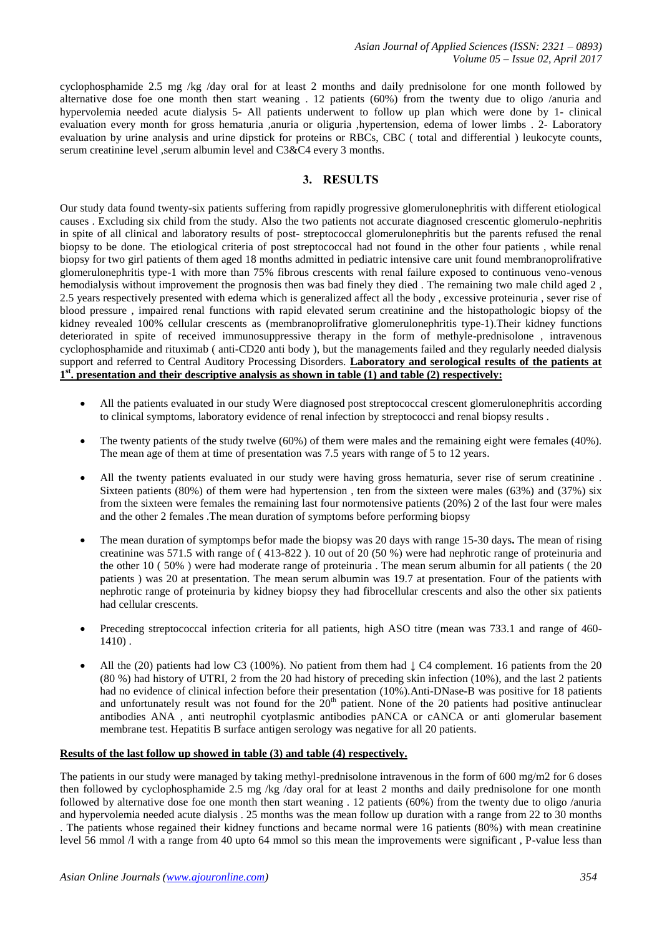cyclophosphamide 2.5 mg /kg /day oral for at least 2 months and daily prednisolone for one month followed by alternative dose foe one month then start weaning . 12 patients (60%) from the twenty due to oligo /anuria and hypervolemia needed acute dialysis 5- All patients underwent to follow up plan which were done by 1- clinical evaluation every month for gross hematuria ,anuria or oliguria ,hypertension, edema of lower limbs . 2- Laboratory evaluation by urine analysis and urine dipstick for proteins or RBCs, CBC ( total and differential ) leukocyte counts, serum creatinine level ,serum albumin level and C3&C4 every 3 months.

# **3. RESULTS**

Our study data found twenty-six patients suffering from rapidly progressive glomerulonephritis with different etiological causes . Excluding six child from the study. Also the two patients not accurate diagnosed crescentic glomerulo-nephritis in spite of all clinical and laboratory results of post- streptococcal glomerulonephritis but the parents refused the renal biopsy to be done. The etiological criteria of post streptococcal had not found in the other four patients , while renal biopsy for two girl patients of them aged 18 months admitted in pediatric intensive care unit found membranoprolifrative glomerulonephritis type-1 with more than 75% fibrous crescents with renal failure exposed to continuous veno-venous hemodialysis without improvement the prognosis then was bad finely they died . The remaining two male child aged 2 , 2.5 years respectively presented with edema which is generalized affect all the body , excessive proteinuria , sever rise of blood pressure , impaired renal functions with rapid elevated serum creatinine and the histopathologic biopsy of the kidney revealed 100% cellular crescents as (membranoprolifrative glomerulonephritis type-1).Their kidney functions deteriorated in spite of received immunosuppressive therapy in the form of methyle-prednisolone , intravenous cyclophosphamide and rituximab ( anti-CD20 anti body ), but the managements failed and they regularly needed dialysis support and referred to Central Auditory Processing Disorders. **Laboratory and serological results of the patients at 1 st. presentation and their descriptive analysis as shown in table (1) and table (2) respectively:**

- All the patients evaluated in our study Were diagnosed post streptococcal crescent glomerulonephritis according to clinical symptoms, laboratory evidence of renal infection by streptococci and renal biopsy results .
- The twenty patients of the study twelve (60%) of them were males and the remaining eight were females (40%). The mean age of them at time of presentation was 7.5 years with range of 5 to 12 years.
- All the twenty patients evaluated in our study were having gross hematuria, sever rise of serum creatinine . Sixteen patients (80%) of them were had hypertension , ten from the sixteen were males (63%) and (37%) six from the sixteen were females the remaining last four normotensive patients (20%) 2 of the last four were males and the other 2 females .The mean duration of symptoms before performing biopsy
- The mean duration of symptomps befor made the biopsy was 20 days with range 15-30 days**.** The mean of rising creatinine was 571.5 with range of ( 413-822 ). 10 out of 20 (50 %) were had nephrotic range of proteinuria and the other 10 ( 50% ) were had moderate range of proteinuria . The mean serum albumin for all patients ( the 20 patients ) was 20 at presentation. The mean serum albumin was 19.7 at presentation. Four of the patients with nephrotic range of proteinuria by kidney biopsy they had fibrocellular crescents and also the other six patients had cellular crescents.
- Preceding streptococcal infection criteria for all patients, high ASO titre (mean was 733.1 and range of 460- 1410) .
- All the (20) patients had low C3 (100%). No patient from them had ↓ C4 complement. 16 patients from the 20 (80 %) had history of UTRI, 2 from the 20 had history of preceding skin infection (10%), and the last 2 patients had no evidence of clinical infection before their presentation (10%).Anti-DNase-B was positive for 18 patients and unfortunately result was not found for the  $20<sup>th</sup>$  patient. None of the 20 patients had positive antinuclear antibodies ANA , anti neutrophil cyotplasmic antibodies pANCA or cANCA or anti glomerular basement membrane test. Hepatitis B surface antigen serology was negative for all 20 patients.

### **Results of the last follow up showed in table (3) and table (4) respectively.**

The patients in our study were managed by taking methyl-prednisolone intravenous in the form of 600 mg/m2 for 6 doses then followed by cyclophosphamide 2.5 mg /kg /day oral for at least 2 months and daily prednisolone for one month followed by alternative dose foe one month then start weaning . 12 patients (60%) from the twenty due to oligo /anuria and hypervolemia needed acute dialysis . 25 months was the mean follow up duration with a range from 22 to 30 months . The patients whose regained their kidney functions and became normal were 16 patients (80%) with mean creatinine level 56 mmol /l with a range from 40 upto 64 mmol so this mean the improvements were significant , P-value less than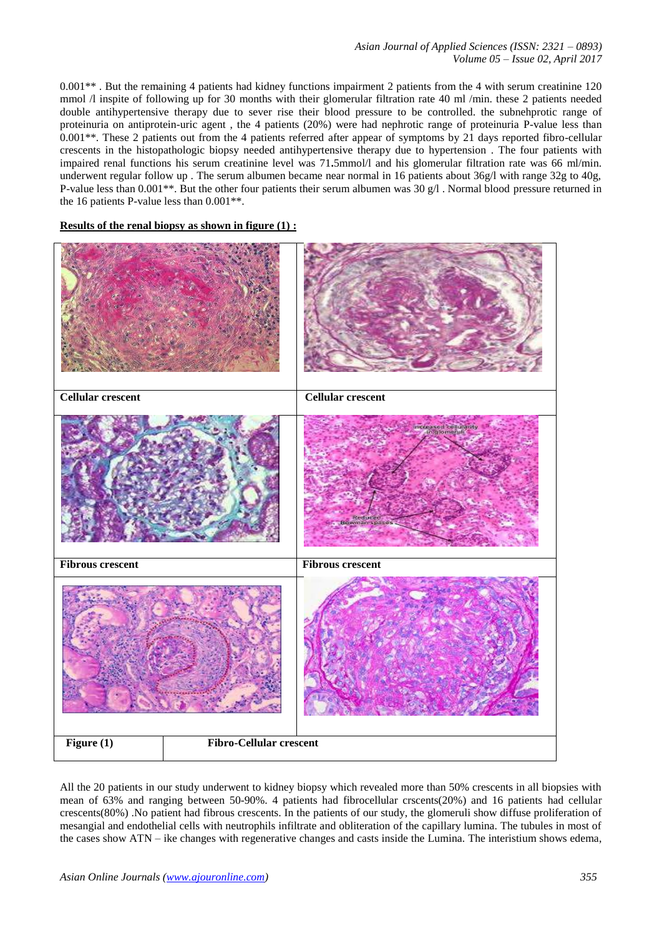*Asian Journal of Applied Sciences (ISSN: 2321 – 0893) Volume 05 – Issue 02, April 2017*

0.001\*\* . But the remaining 4 patients had kidney functions impairment 2 patients from the 4 with serum creatinine 120 mmol  $\Lambda$  inspite of following up for 30 months with their glomerular filtration rate 40 ml /min. these 2 patients needed double antihypertensive therapy due to sever rise their blood pressure to be controlled. the subnehprotic range of proteinuria on antiprotein-uric agent , the 4 patients (20%) were had nephrotic range of proteinuria P-value less than 0.001\*\*. These 2 patients out from the 4 patients referred after appear of symptoms by 21 days reported fibro-cellular crescents in the histopathologic biopsy needed antihypertensive therapy due to hypertension . The four patients with impaired renal functions his serum creatinine level was 71**.**5mmol/l and his glomerular filtration rate was 66 ml/min. underwent regular follow up . The serum albumen became near normal in 16 patients about 36g/l with range 32g to 40g, P-value less than 0.001\*\*. But the other four patients their serum albumen was 30 g/l . Normal blood pressure returned in the 16 patients P-value less than 0.001\*\*.

#### **Results of the renal biopsy as shown in figure (1) :**



All the 20 patients in our study underwent to kidney biopsy which revealed more than 50% crescents in all biopsies with mean of 63% and ranging between 50-90%. 4 patients had fibrocellular crscents(20%) and 16 patients had cellular crescents(80%) .No patient had fibrous crescents. In the patients of our study, the glomeruli show diffuse proliferation of mesangial and endothelial cells with neutrophils infiltrate and obliteration of the capillary lumina. The tubules in most of the cases show ATN – ike changes with regenerative changes and casts inside the Lumina. The interistium shows edema,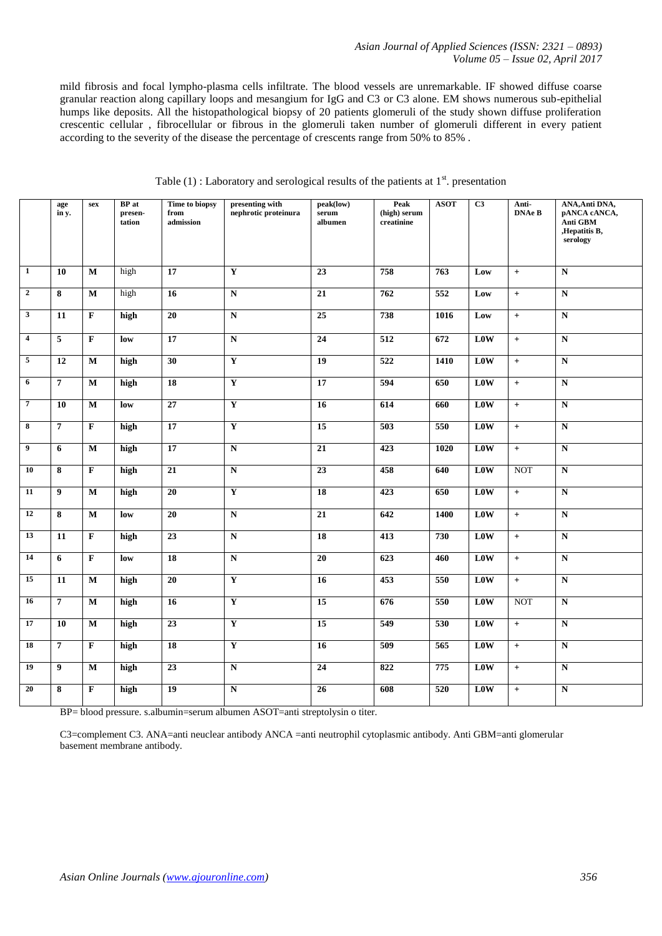mild fibrosis and focal lympho-plasma cells infiltrate. The blood vessels are unremarkable. IF showed diffuse coarse granular reaction along capillary loops and mesangium for IgG and C3 or C3 alone. EM shows numerous sub-epithelial humps like deposits. All the histopathological biopsy of 20 patients glomeruli of the study shown diffuse proliferation crescentic cellular , fibrocellular or fibrous in the glomeruli taken number of glomeruli different in every patient according to the severity of the disease the percentage of crescents range from 50% to 85% .

|                         | age<br>in y.            | sex                     | <b>BP</b> at<br>presen-<br>tation | Time to biopsy<br>from<br>admission | presenting with<br>nephrotic proteinura | <b>Peak</b><br>peak(low)<br>(high) serum<br>serum<br>albumen<br>creatinine |                  | <b>ASOT</b> | C <sub>3</sub> | Anti-<br><b>DNAe B</b> | ANA, Anti DNA,<br>pANCA cANCA,<br>Anti GBM<br>,Hepatitis B,<br>serology |
|-------------------------|-------------------------|-------------------------|-----------------------------------|-------------------------------------|-----------------------------------------|----------------------------------------------------------------------------|------------------|-------------|----------------|------------------------|-------------------------------------------------------------------------|
| $\mathbf{1}$            |                         |                         |                                   | 17                                  | $\mathbf Y$                             |                                                                            | 758              | 763         |                |                        |                                                                         |
|                         | 10                      | $\mathbf{M}$            | high                              |                                     |                                         | $\overline{23}$                                                            |                  |             | Low            | $+$                    | ${\bf N}$                                                               |
| $\overline{2}$          | $\overline{\bf 8}$      | $\mathbf{M}$            | high                              | 16                                  | ${\bf N}$                               | $\overline{21}$                                                            | 762              | 552         | Low            | $+$                    | $\overline{\mathbf{N}}$                                                 |
| $\overline{\mathbf{3}}$ | 11                      | $\overline{\mathbf{F}}$ | high                              | $20\,$                              | ${\bf N}$                               | $\overline{25}$                                                            | 738              | 1016        | Low            | $+$                    | ${\bf N}$                                                               |
| $\overline{4}$          | $\overline{5}$          | $\overline{F}$          | low                               | $\overline{17}$                     | $\overline{\bf N}$                      | $\overline{24}$                                                            | $\overline{512}$ | 672         | Low            | $+$                    | $\overline{\mathbf{N}}$                                                 |
| $\overline{5}$          | $\overline{12}$         | $\overline{\mathbf{M}}$ | high                              | $\overline{30}$                     | $\overline{\mathbf{Y}}$                 | $\overline{19}$                                                            | 522              | 1410        | Low            | $+$                    | $\overline{\bf N}$                                                      |
| $\overline{6}$          | $\overline{7}$          | $\overline{\mathbf{M}}$ | high                              | $\overline{18}$                     | $\overline{\mathbf{Y}}$                 | 17                                                                         | 594              | 650         |                | $+$                    | $\overline{\bf N}$                                                      |
| $\overline{7}$          | 10                      | $\mathbf{M}$            | low                               | 27                                  | $\overline{\mathbf{Y}}$                 | 16                                                                         | 614              | 660         | <b>L0W</b>     | $+$                    | ${\bf N}$                                                               |
| $\overline{\mathbf{8}}$ | $\overline{7}$          | $\overline{F}$          | high                              | $\overline{17}$                     | $\overline{\mathbf{Y}}$                 | $\overline{15}$                                                            | 503              | 550         |                | $+$                    | ${\bf N}$                                                               |
| $\boldsymbol{9}$        | 6                       | $\mathbf{M}$            | high                              | 17                                  | ${\bf N}$                               | 21                                                                         | 423              | 1020        | L0W            | $+$                    | $\mathbf N$                                                             |
| 10                      | $\overline{\mathbf{8}}$ | $\overline{\mathbf{F}}$ | high                              | 21                                  | $\overline{\mathbf{N}}$                 | 23                                                                         | 458              | 640         | Low            | <b>NOT</b>             | $\overline{\bf N}$                                                      |
| 11                      | $\boldsymbol{9}$        | $\overline{\mathbf{M}}$ | high                              | $20\,$                              | $\overline{\mathbf{Y}}$                 | 18                                                                         | 423              | 650         | L0W            | $+$                    | $\overline{\bf N}$                                                      |
| 12                      | 8                       | $\mathbf{M}$            | low                               | 20                                  | ${\bf N}$                               | $\overline{21}$                                                            | 642              | 1400        | Low            | $+$                    | ${\bf N}$                                                               |
| 13                      | 11                      | $\mathbf F$             | high                              | $\overline{23}$                     | $\overline{\mathbf{N}}$                 | $\overline{18}$                                                            | $\overline{413}$ | 730         | Low            | $+$                    | $\overline{\mathbf{N}}$                                                 |
| 14                      | $\overline{6}$          | $\overline{F}$          | low                               | $\overline{18}$                     | $\overline{\bf N}$                      | $\overline{20}$                                                            | 623              | 460         | Low            | $\ddot{+}$             | $\overline{\mathbf{N}}$                                                 |
| 15                      | 11                      | $\overline{\mathbf{M}}$ | high                              | 20                                  | $\overline{\mathbf{Y}}$                 | $\overline{16}$                                                            | 453              | 550         | Low            | $+$                    | $\overline{\bf N}$                                                      |
| 16                      | $\overline{7}$          | $\mathbf M$             | high                              | 16                                  | $\overline{\mathbf{Y}}$                 | 15                                                                         | 676<br>550       |             | L0W            | <b>NOT</b>             | ${\bf N}$                                                               |
| 17                      | 10                      | $\mathbf M$             | high                              | 23                                  | $\overline{\mathbf{Y}}$                 | 15                                                                         | 549<br>530       |             | L0W            | $+$                    | ${\bf N}$                                                               |
| 18                      | $\overline{7}$          | $\overline{F}$          | high                              | 18                                  | $\overline{\mathbf{Y}}$                 | 16                                                                         | 509              | 565         | Low            | $+$                    | $\overline{\bf N}$                                                      |
| 19                      | $\boldsymbol{9}$        | M                       | high                              | $\overline{23}$                     | $\overline{\bf N}$                      | 24                                                                         | 822              | 775         | <b>L0W</b>     | $+$                    | $\mathbf N$                                                             |
| 20                      | $\bf 8$                 | $\overline{\mathbf{F}}$ | high                              | $\overline{19}$                     | ${\bf N}$                               | 26                                                                         | 608              | 520         | Low            | $+$                    | $\overline{\bf N}$                                                      |

Table (1) : Laboratory and serological results of the patients at  $1<sup>st</sup>$ . presentation

BP= blood pressure. s.albumin=serum albumen ASOT=anti streptolysin o titer.

C3=complement C3. ANA=anti neuclear antibody ANCA =anti neutrophil cytoplasmic antibody. Anti GBM=anti glomerular basement membrane antibody.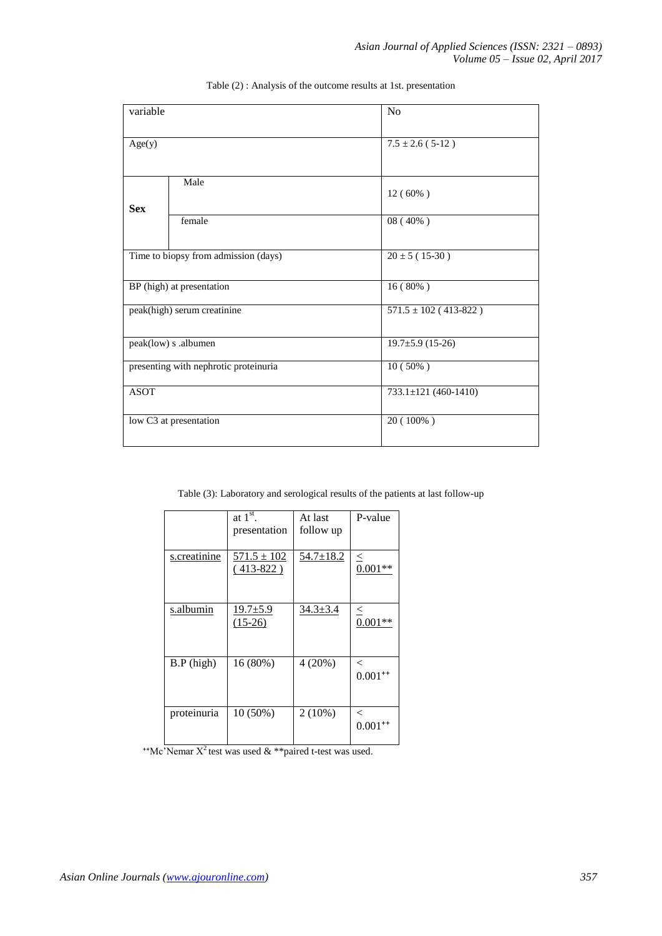| variable    |                                       | No                          |  |  |  |  |
|-------------|---------------------------------------|-----------------------------|--|--|--|--|
| Age(y)      |                                       | $7.5 \pm 2.6$ (5-12)        |  |  |  |  |
| <b>Sex</b>  | Male                                  | $12(60\%)$                  |  |  |  |  |
|             | female                                | $08(40\%)$                  |  |  |  |  |
|             | Time to biopsy from admission (days)  | $20 \pm 5 (15-30)$          |  |  |  |  |
|             | BP (high) at presentation             | $16(80\%)$                  |  |  |  |  |
|             | peak(high) serum creatinine           | $571.5 \pm 102 (413 - 822)$ |  |  |  |  |
|             | peak(low) s .albumen                  | $19.7 \pm 5.9$ (15-26)      |  |  |  |  |
|             | presenting with nephrotic proteinuria | $10(50\%)$                  |  |  |  |  |
| <b>ASOT</b> |                                       | 733.1±121 (460-1410)        |  |  |  |  |
|             | low C3 at presentation                | $20(100\%)$                 |  |  |  |  |

Table (2) : Analysis of the outcome results at 1st. presentation

Table (3): Laboratory and serological results of the patients at last follow-up

|              | at $1^{\overline{\text{st}}}$ .<br>presentation | At last<br>follow up | P-value                 |
|--------------|-------------------------------------------------|----------------------|-------------------------|
| s.creatinine | $571.5 \pm 102$<br>$(413-822)$                  | $54.7 \pm 18.2$      | $\leq$<br>$0.001**$     |
| s.albumin    | $19.7 \pm 5.9$<br>$(15-26)$                     | $34.3 \pm 3.4$       | $\leq$<br>$0.001**$     |
| $B.P$ (high) | 16 (80%)                                        | 4(20%)               | $\lt$<br>$0.001^{++}$   |
| proteinuria  | $10(50\%)$                                      | $2(10\%)$            | $\,<\,$<br>$0.001^{++}$ |

*\*\*Mc*'Nemar  $X^2$  test was used  $\&$  \*\*paired t-test was used.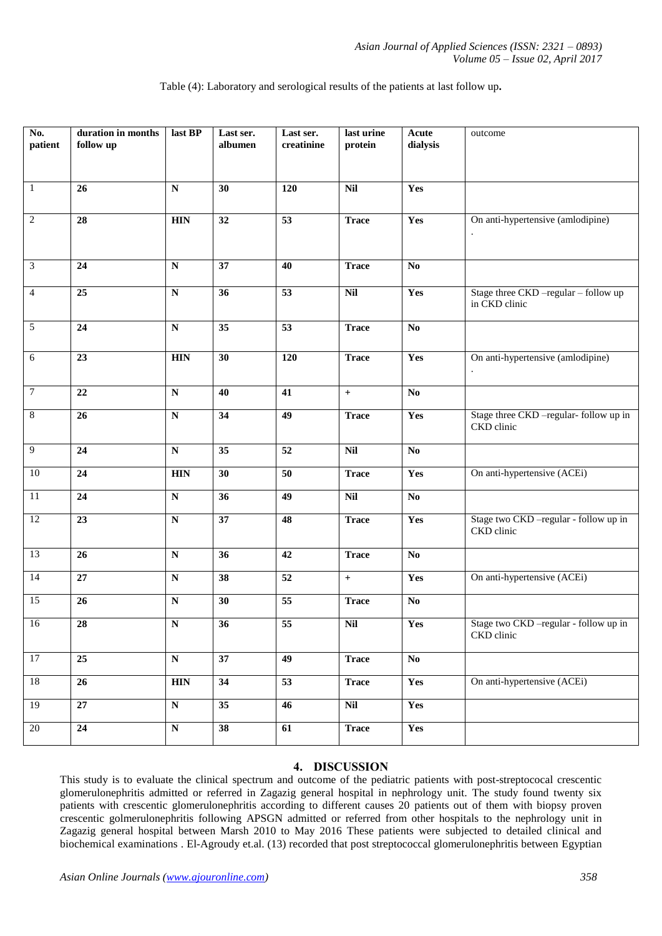| Table (4): Laboratory and serological results of the patients at last follow up. |  |  |
|----------------------------------------------------------------------------------|--|--|
|                                                                                  |  |  |

| No.<br>patient | duration in months<br>follow up | last BP                 | Last ser.<br>albumen | Last ser.<br>creatinine | last urine<br>protein | Acute<br>dialysis      | outcome                                               |
|----------------|---------------------------------|-------------------------|----------------------|-------------------------|-----------------------|------------------------|-------------------------------------------------------|
|                |                                 |                         |                      |                         |                       |                        |                                                       |
|                |                                 |                         |                      |                         |                       |                        |                                                       |
| $\mathbf{1}$   | 26                              | ${\bf N}$               | 30                   | 120                     | $\overline{Nil}$      | Yes                    |                                                       |
| $\sqrt{2}$     | 28                              | <b>HIN</b>              | 32                   | $\overline{53}$         | <b>Trace</b>          | Yes                    | On anti-hypertensive (amlodipine)                     |
|                |                                 |                         |                      |                         |                       |                        |                                                       |
| $\mathfrak{Z}$ | 24                              | ${\bf N}$               | 37                   | 40                      | <b>Trace</b>          | $\mathbf{N}\mathbf{o}$ |                                                       |
| $\overline{4}$ | 25                              | ${\bf N}$               | 36                   | $\overline{53}$         | Nil                   | Yes                    | Stage three CKD -regular - follow up<br>in CKD clinic |
| 5              | 24                              | ${\bf N}$               | 35                   | 53                      | <b>Trace</b>          | $\mathbf{N}\mathbf{o}$ |                                                       |
| 6              | 23                              | <b>HIN</b>              | 30                   | 120                     | <b>Trace</b>          | Yes                    | On anti-hypertensive (amlodipine)                     |
| $\tau$         | $\overline{22}$                 | ${\bf N}$               | 40                   | $\overline{41}$         | $+$                   | $\overline{No}$        |                                                       |
| $\,8\,$        | 26                              | ${\bf N}$               | 34                   | 49                      | <b>Trace</b>          | Yes                    | Stage three CKD -regular- follow up in<br>CKD clinic  |
| 9              | 24                              | ${\bf N}$               | 35                   | 52                      | $\mathbf{Nil}$        | $\mathbf{No}$          |                                                       |
| $10\,$         | 24                              | <b>HIN</b>              | 30                   | 50                      | <b>Trace</b>          | Yes                    | On anti-hypertensive (ACEi)                           |
| 11             | 24                              | ${\bf N}$               | 36                   | 49                      | Nil                   | $\bf No$               |                                                       |
| 12             | 23                              | $\overline{\mathbf{N}}$ | $\overline{37}$      | 48                      | <b>Trace</b>          | Yes                    | Stage two CKD -regular - follow up in<br>CKD clinic   |
| 13             | 26                              | ${\bf N}$               | 36                   | 42                      | <b>Trace</b>          | $\mathbf{No}$          |                                                       |
| 14             | 27                              | ${\bf N}$               | 38                   | $\overline{52}$         | $\ddot{\phantom{1}}$  | Yes                    | On anti-hypertensive (ACEi)                           |
| 15             | 26                              | ${\bf N}$               | 30                   | 55                      | <b>Trace</b>          | $\mathbf{No}$          |                                                       |
| $16\,$         | $\overline{28}$                 | ${\bf N}$               | 36                   | $\overline{55}$         | Nil                   | Yes                    | Stage two CKD -regular - follow up in<br>CKD clinic   |
| 17             | $\overline{25}$                 | $\overline{\mathbf{N}}$ | $\overline{37}$      | 49                      | <b>Trace</b>          | $\overline{No}$        |                                                       |
| 18             | 26                              | <b>HIN</b>              | 34                   | 53                      | <b>Trace</b>          | Yes                    | On anti-hypertensive (ACEi)                           |
| 19             | $\overline{27}$                 | $\overline{\bf N}$      | $\overline{35}$      | 46                      | Nil                   | Yes                    |                                                       |
| $20\,$         | 24                              | ${\bf N}$               | $38\,$               | 61                      | <b>Trace</b>          | Yes                    |                                                       |

# **4. DISCUSSION**

This study is to evaluate the clinical spectrum and outcome of the pediatric patients with post-streptococal crescentic glomerulonephritis admitted or referred in Zagazig general hospital in nephrology unit. The study found twenty six patients with crescentic glomerulonephritis according to different causes 20 patients out of them with biopsy proven crescentic golmerulonephritis following APSGN admitted or referred from other hospitals to the nephrology unit in Zagazig general hospital between Marsh 2010 to May 2016 These patients were subjected to detailed clinical and biochemical examinations . El-Agroudy et.al. (13) recorded that post streptococcal glomerulonephritis between Egyptian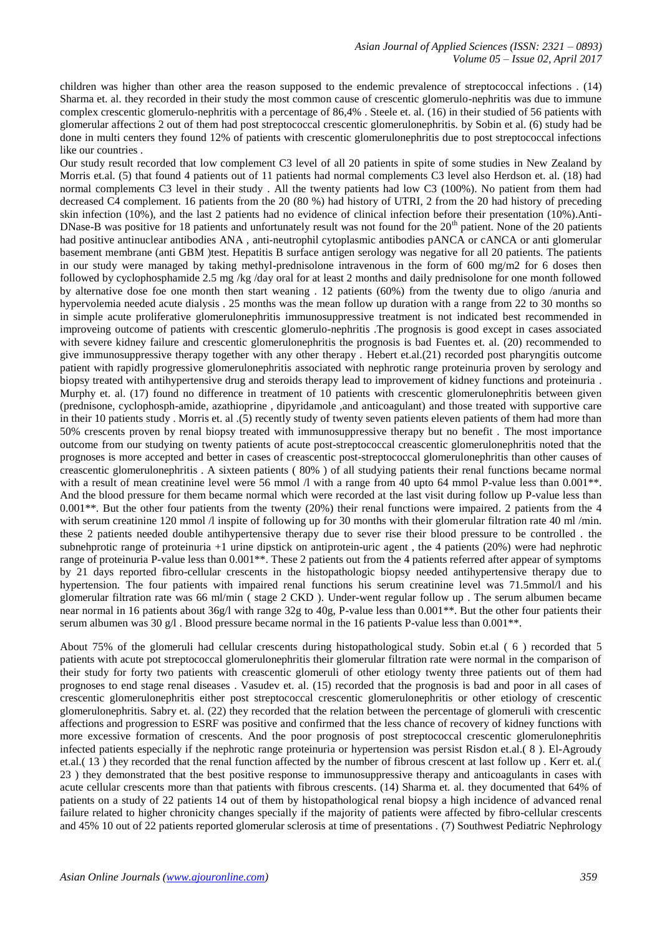children was higher than other area the reason supposed to the endemic prevalence of streptococcal infections . (14) Sharma et. al. they recorded in their study the most common cause of crescentic glomerulo-nephritis was due to immune complex crescentic glomerulo-nephritis with a percentage of 86,4% . Steele et. al. (16) in their studied of 56 patients with glomerular affections 2 out of them had post streptococcal crescentic glomerulonephritis. by Sobin et al. (6) study had be done in multi centers they found 12% of patients with crescentic glomerulonephritis due to post streptococcal infections like our countries .

Our study result recorded that low complement C3 level of all 20 patients in spite of some studies in New Zealand by Morris et.al. (5) that found 4 patients out of 11 patients had normal complements C3 level also Herdson et. al. (18) had normal complements C3 level in their study . All the twenty patients had low C3 (100%). No patient from them had decreased C4 complement. 16 patients from the 20 (80 %) had history of UTRI, 2 from the 20 had history of preceding skin infection (10%), and the last 2 patients had no evidence of clinical infection before their presentation (10%).Anti-DNase-B was positive for 18 patients and unfortunately result was not found for the  $20<sup>th</sup>$  patient. None of the 20 patients had positive antinuclear antibodies ANA , anti-neutrophil cytoplasmic antibodies pANCA or cANCA or anti glomerular basement membrane (anti GBM )test. Hepatitis B surface antigen serology was negative for all 20 patients. The patients in our study were managed by taking methyl-prednisolone intravenous in the form of 600 mg/m2 for 6 doses then followed by cyclophosphamide 2.5 mg /kg /day oral for at least 2 months and daily prednisolone for one month followed by alternative dose foe one month then start weaning . 12 patients (60%) from the twenty due to oligo /anuria and hypervolemia needed acute dialysis . 25 months was the mean follow up duration with a range from 22 to 30 months so in simple acute proliferative glomerulonephritis immunosuppressive treatment is not indicated best recommended in improveing outcome of patients with crescentic glomerulo-nephritis .The prognosis is good except in cases associated with severe kidney failure and crescentic glomerulonephritis the prognosis is bad Fuentes et. al. (20) recommended to give immunosuppressive therapy together with any other therapy . Hebert et.al.(21) recorded post pharyngitis outcome patient with rapidly progressive glomerulonephritis associated with nephrotic range proteinuria proven by serology and biopsy treated with antihypertensive drug and steroids therapy lead to improvement of kidney functions and proteinuria . Murphy et. al. (17) found no difference in treatment of 10 patients with crescentic glomerulonephritis between given (prednisone, cyclophosph-amide, azathioprine , dipyridamole ,and anticoagulant) and those treated with supportive care in their 10 patients study . Morris et. al .(5) recently study of twenty seven patients eleven patients of them had more than 50% crescents proven by renal biopsy treated with immunosuppressive therapy but no benefit . The most importance outcome from our studying on twenty patients of acute post-streptococcal creascentic glomerulonephritis noted that the prognoses is more accepted and better in cases of creascentic post-streptococcal glomerulonephritis than other causes of creascentic glomerulonephritis . A sixteen patients ( 80% ) of all studying patients their renal functions became normal with a result of mean creatinine level were 56 mmol  $\Lambda$  with a range from 40 upto 64 mmol P-value less than 0.001<sup>\*\*</sup>. And the blood pressure for them became normal which were recorded at the last visit during follow up P-value less than  $0.001$ <sup>\*\*</sup>. But the other four patients from the twenty (20%) their renal functions were impaired. 2 patients from the 4 with serum creatinine 120 mmol /l inspite of following up for 30 months with their glomerular filtration rate 40 ml/min. these 2 patients needed double antihypertensive therapy due to sever rise their blood pressure to be controlled . the subnehprotic range of proteinuria +1 urine dipstick on antiprotein-uric agent , the 4 patients (20%) were had nephrotic range of proteinuria P-value less than  $0.001**$ . These 2 patients out from the 4 patients referred after appear of symptoms by 21 days reported fibro-cellular crescents in the histopathologic biopsy needed antihypertensive therapy due to hypertension. The four patients with impaired renal functions his serum creatinine level was 71.5mmol/l and his glomerular filtration rate was 66 ml/min ( stage 2 CKD ). Under-went regular follow up . The serum albumen became near normal in 16 patients about 36g/l with range 32g to 40g, P-value less than 0.001\*\*. But the other four patients their serum albumen was 30  $g/l$ . Blood pressure became normal in the 16 patients P-value less than 0.001<sup>\*\*</sup>.

About 75% of the glomeruli had cellular crescents during histopathological study. Sobin et.al ( 6 ) recorded that 5 patients with acute pot streptococcal glomerulonephritis their glomerular filtration rate were normal in the comparison of their study for forty two patients with creascentic glomeruli of other etiology twenty three patients out of them had prognoses to end stage renal diseases . Vasudev et. al. (15) recorded that the prognosis is bad and poor in all cases of crescentic glomerulonephritis either post streptococcal crescentic glomerulonephritis or other etiology of crescentic glomerulonephritis. Sabry et. al. (22) they recorded that the relation between the percentage of glomeruli with crescentic affections and progression to ESRF was positive and confirmed that the less chance of recovery of kidney functions with more excessive formation of crescents. And the poor prognosis of post streptococcal crescentic glomerulonephritis infected patients especially if the nephrotic range proteinuria or hypertension was persist Risdon et.al.( 8 ). El-Agroudy et.al.( 13 ) they recorded that the renal function affected by the number of fibrous crescent at last follow up . Kerr et. al.( 23 ) they demonstrated that the best positive response to immunosuppressive therapy and anticoagulants in cases with acute cellular crescents more than that patients with fibrous crescents. (14) Sharma et. al. they documented that 64% of patients on a study of 22 patients 14 out of them by histopathological renal biopsy a high incidence of advanced renal failure related to higher chronicity changes specially if the majority of patients were affected by fibro-cellular crescents and 45% 10 out of 22 patients reported glomerular sclerosis at time of presentations . (7) Southwest Pediatric Nephrology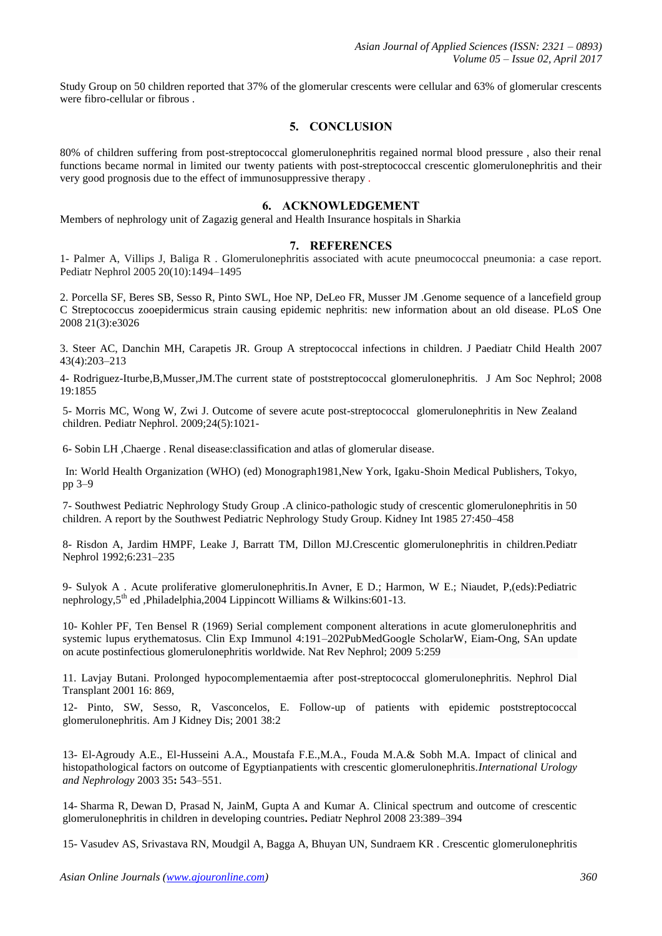Study Group on 50 children reported that 37% of the glomerular crescents were cellular and 63% of glomerular crescents were fibro-cellular or fibrous .

## **5. CONCLUSION**

80% of children suffering from post-streptococcal glomerulonephritis regained normal blood pressure , also their renal functions became normal in limited our twenty patients with post-streptococcal crescentic glomerulonephritis and their very good prognosis due to the effect of immunosuppressive therapy .

## **6. ACKNOWLEDGEMENT**

Members of nephrology unit of Zagazig general and Health Insurance hospitals in Sharkia

#### **7. REFERENCES**

1- Palmer A, Villips J, Baliga R . Glomerulonephritis associated with acute pneumococcal pneumonia: a case report. Pediatr Nephrol 2005 20(10):1494–1495

2. Porcella SF, Beres SB, Sesso R, Pinto SWL, Hoe NP, DeLeo FR, Musser JM .Genome sequence of a lancefield group C Streptococcus zooepidermicus strain causing epidemic nephritis: new information about an old disease. PLoS One 2008 21(3):e3026

3. Steer AC, Danchin MH, Carapetis JR. Group A streptococcal infections in children. J Paediatr Child Health 2007 43(4):203–213

4- Rodriguez-Iturbe,B,Musser,JM.The current state of poststreptococcal glomerulonephritis. J Am Soc Nephrol; 2008 19:1855

5- Morris MC, Wong W, Zwi J. Outcome of severe acute post-streptococcal glomerulonephritis in New Zealand children. Pediatr Nephrol. 2009;24(5):1021-

6- Sobin LH ,Chaerge . Renal disease:classification and atlas of glomerular disease.

In: World Health Organization (WHO) (ed) Monograph1981,New York, Igaku-Shoin Medical Publishers, Tokyo, pp 3–9

7- Southwest Pediatric Nephrology Study Group .A clinico-pathologic study of crescentic glomerulonephritis in 50 children. A report by the Southwest Pediatric Nephrology Study Group. Kidney Int 1985 27:450–458

8- Risdon A, Jardim HMPF, Leake J, Barratt TM, Dillon MJ.Crescentic glomerulonephritis in children.Pediatr Nephrol 1992;6:231–235

9- Sulyok A . Acute proliferative glomerulonephritis.In Avner, E D.; Harmon, W E.; Niaudet, P,(eds):Pediatric nephrology, 5<sup>th</sup> ed ,Philadelphia, 2004 Lippincott Williams & Wilkins: 601-13.

10- Kohler PF, Ten Bensel R (1969) Serial complement component alterations in acute glomerulonephritis and systemic lupus erythematosus. Clin Exp Immunol 4:191–20[2PubMedGoogle ScholarW](http://www.ncbi.nlm.nih.gov/entrez/query.fcgi?cmd=Retrieve&db=PubMed&dopt=Abstract&list_uids=4978055), Eiam-Ong, SAn update on acute postinfectious glomerulonephritis worldwide. Nat Rev Nephrol; 2009 5:259

11. Lavjay Butani. Prolonged hypocomplementaemia after post-streptococcal glomerulonephritis. Nephrol Dial Transplant 2001 16: 869,

12- Pinto, SW, Sesso, R, Vasconcelos, E. Follow-up of patients with epidemic poststreptococcal glomerulonephritis. Am J Kidney Dis; 2001 38:2

13- El-Agroudy A.E., El-Husseini A.A., Moustafa F.E.,M.A., Fouda M.A.& Sobh M.A. Impact of clinical and histopathological factors on outcome of Egyptianpatients with crescentic glomerulonephritis.*International Urology and Nephrology* 2003 35**:** 543–551.

14- Sharma R, Dewan D, Prasad N, JainM, Gupta A and Kumar A. Clinical spectrum and outcome of crescentic glomerulonephritis in children in developing countries**.** Pediatr Nephrol 2008 23:389–394

15- Vasudev AS, Srivastava RN, Moudgil A, Bagga A, Bhuyan UN, Sundraem KR . Crescentic glomerulonephritis